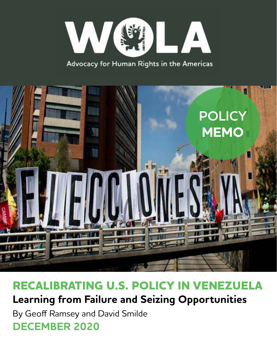

#### Advocacy for Human Rights in the Americas



#### **RECALIBRATING U.S. POLICY IN VENEZUELA Learning from Failure and Seizing Opportunities**

By Geoff Ramsey and David Smilde

#### **DECEMBER 2020**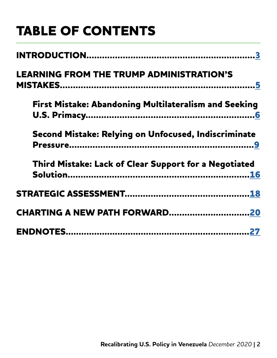## **TABLE OF CONTENTS**

| <b>LEARNING FROM THE TRUMP ADMINISTRATION'S</b>              |
|--------------------------------------------------------------|
| <b>First Mistake: Abandoning Multilateralism and Seeking</b> |
| Second Mistake: Relying on Unfocused, Indiscriminate         |
| Third Mistake: Lack of Clear Support for a Negotiated        |
|                                                              |
| CHARTING A NEW PATH FORWARD20                                |
|                                                              |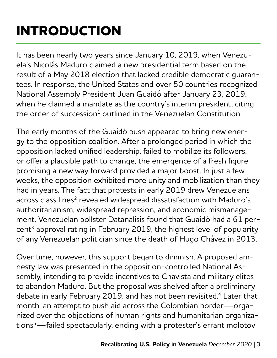# <span id="page-2-0"></span>**INTRODUCTION**

It has been nearly two years since January 10, 2019, when Venezuela's Nicolás Maduro claimed a new presidential term based on the result of a May 2018 election that lacked credible democratic guarantees. In response, the United States and over 50 countries recognized National Assembly President Juan Guaidó after January 23, 2019, when he claimed a mandate as the country's interim president, citing the order of succession $^1$  outlined in the Venezuelan Constitution.

The early months of the Guaidó push appeared to bring new energy to the opposition coalition. After a prolonged period in which the opposition lacked unified leadership, failed to mobilize its followers, or offer a plausible path to change, the emergence of a fresh figure promising a new way forward provided a major boost. In just a few weeks, the opposition exhibited more unity and mobilization than they had in years. The fact that protests in early 2019 drew Venezuelans across class lines<sup>2</sup> revealed widespread dissatisfaction with Maduro's authoritarianism, widespread repression, and economic mismanagement. Venezuelan pollster Datanalisis found that Guaidó had a 61 per- $\text{cent}^3$  approval rating in February 2019, the highest level of popularity of any Venezuelan politician since the death of Hugo Chávez in 2013.

Over time, however, this support began to diminish. A proposed amnesty law was presented in the opposition-controlled National Assembly, intending to provide incentives to Chavista and military elites to abandon Maduro. But the proposal was shelved after a preliminary debate in early February 2019, and has not been revisited.<sup>4</sup> Later that month, an attempt to push aid across the Colombian border—organized over the objections of human rights and humanitarian organizations5—failed spectacularly, ending with a protester's errant molotov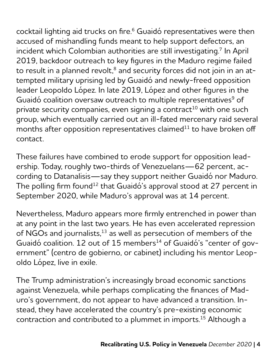cocktail lighting aid trucks on fire.<sup>6</sup> Guaidó representatives were then accused of mishandling funds meant to help support defectors, an incident which Colombian authorities are still investigating.<sup>7</sup> In April 2019, backdoor outreach to key figures in the Maduro regime failed to result in a planned revolt, $^{\rm 8}$  and security forces did not join in an attempted military uprising led by Guaidó and newly-freed opposition leader Leopoldo López. In late 2019, López and other figures in the Guaidó coalition oversaw outreach to multiple representatives $^9$  of private security companies, even signing a contract<sup>10</sup> with one such group, which eventually carried out an ill-fated mercenary raid several months after opposition representatives claimed $11$  to have broken off contact.

These failures have combined to erode support for opposition leadership. Today, roughly two-thirds of Venezuelans—62 percent, according to Datanalisis—say they support neither Guaidó nor Maduro. The polling firm found<sup>12</sup> that Guaidó's approval stood at 27 percent in September 2020, while Maduro's approval was at 14 percent.

Nevertheless, Maduro appears more firmly entrenched in power than at any point in the last two years. He has even accelerated repression of NGOs and journalists,<sup>13</sup> as well as persecution of members of the Guaidó coalition. 12 out of 15 members<sup>14</sup> of Guaidó's "center of government" (centro de gobierno, or cabinet) including his mentor Leopoldo López, live in exile.

The Trump administration's increasingly broad economic sanctions against Venezuela, while perhaps complicating the finances of Maduro's government, do not appear to have advanced a transition. Instead, they have accelerated the country's pre-existing economic contraction and contributed to a plummet in imports.<sup>15</sup> Although a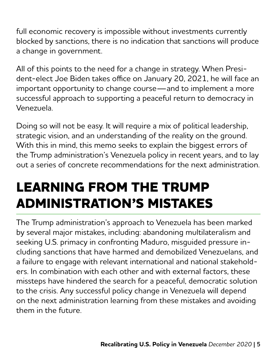<span id="page-4-0"></span>full economic recovery is impossible without investments currently blocked by sanctions, there is no indication that sanctions will produce a change in government.

All of this points to the need for a change in strategy. When President-elect Joe Biden takes office on January 20, 2021, he will face an important opportunity to change course—and to implement a more successful approach to supporting a peaceful return to democracy in Venezuela.

Doing so will not be easy. It will require a mix of political leadership, strategic vision, and an understanding of the reality on the ground. With this in mind, this memo seeks to explain the biggest errors of the Trump administration's Venezuela policy in recent years, and to lay out a series of concrete recommendations for the next administration.

# **LEARNING FROM THE TRUMP ADMINISTRATION'S MISTAKES**

The Trump administration's approach to Venezuela has been marked by several major mistakes, including: abandoning multilateralism and seeking U.S. primacy in confronting Maduro, misguided pressure including sanctions that have harmed and demobilized Venezuelans, and a failure to engage with relevant international and national stakeholders. In combination with each other and with external factors, these missteps have hindered the search for a peaceful, democratic solution to the crisis. Any successful policy change in Venezuela will depend on the next administration learning from these mistakes and avoiding them in the future.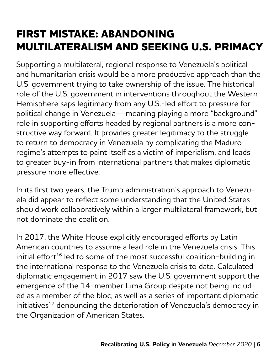## <span id="page-5-0"></span>**FIRST MISTAKE: ABANDONING MULTILATERALISM AND SEEKING U.S. PRIMACY**

Supporting a multilateral, regional response to Venezuela's political and humanitarian crisis would be a more productive approach than the U.S. government trying to take ownership of the issue. The historical role of the U.S. government in interventions throughout the Western Hemisphere saps legitimacy from any U.S.-led effort to pressure for political change in Venezuela—meaning playing a more "background" role in supporting efforts headed by regional partners is a more constructive way forward. It provides greater legitimacy to the struggle to return to democracy in Venezuela by complicating the Maduro regime's attempts to paint itself as a victim of imperialism, and leads to greater buy-in from international partners that makes diplomatic pressure more effective.

In its first two years, the Trump administration's approach to Venezuela did appear to reflect some understanding that the United States should work collaboratively within a larger multilateral framework, but not dominate the coalition.

In 2017, the White House explicitly encouraged efforts by Latin American countries to assume a lead role in the Venezuela crisis. This  $initial$  effort<sup>16</sup> led to some of the most successful coalition-building in the international response to the Venezuela crisis to date. Calculated diplomatic engagement in 2017 saw the U.S. government support the emergence of the 14-member Lima Group despite not being included as a member of the bloc, as well as a series of important diplomatic initiatives<sup>17</sup> denouncing the deterioration of Venezuela's democracy in the Organization of American States.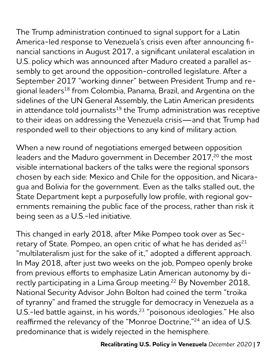The Trump administration continued to signal support for a Latin America-led response to Venezuela's crisis even after announcing financial sanctions in August 2017, a significant unilateral escalation in U.S. policy which was announced after Maduro created a parallel assembly to get around the opposition-controlled legislature. After a September 2017 "working dinner" between President Trump and regional leaders<sup>18</sup> from Colombia, Panama, Brazil, and Argentina on the sidelines of the UN General Assembly, the Latin American presidents in attendance told journalists $19$  the Trump administration was receptive to their ideas on addressing the Venezuela crisis—and that Trump had responded well to their objections to any kind of military action.

When a new round of negotiations emerged between opposition leaders and the Maduro government in December 2017,<sup>20</sup> the most visible international backers of the talks were the regional sponsors chosen by each side: Mexico and Chile for the opposition, and Nicaragua and Bolivia for the government. Even as the talks stalled out, the State Department kept a purposefully low profile, with regional governments remaining the public face of the process, rather than risk it being seen as a U.S.-led initiative.

This changed in early 2018, after Mike Pompeo took over as Secretary of State. Pompeo, an open critic of what he has derided as<sup>21</sup> "multilateralism just for the sake of it," adopted a different approach. In May 2018, after just two weeks on the job, Pompeo openly broke from previous efforts to emphasize Latin American autonomy by directly participating in a Lima Group meeting.<sup>22</sup> By November 2018, National Security Advisor John Bolton had coined the term "troika of tyranny" and framed the struggle for democracy in Venezuela as a U.S.-led battle against, in his words,<sup>23</sup> "poisonous ideologies." He also reaffirmed the relevancy of the "Monroe Doctrine,"<sup>24</sup> an idea of U.S. predominance that is widely rejected in the hemisphere.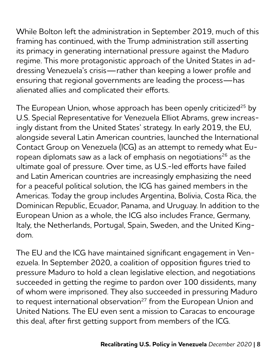While Bolton left the administration in September 2019, much of this framing has continued, with the Trump administration still asserting its primacy in generating international pressure against the Maduro regime. This more protagonistic approach of the United States in addressing Venezuela's crisis—rather than keeping a lower profile and ensuring that regional governments are leading the process—has alienated allies and complicated their efforts.

The European Union, whose approach has been openly criticized<sup>25</sup> by U.S. Special Representative for Venezuela Elliot Abrams, grew increasingly distant from the United States' strategy. In early 2019, the EU, alongside several Latin American countries, launched the International Contact Group on Venezuela (ICG) as an attempt to remedy what European diplomats saw as a lack of emphasis on negotiations<sup>26</sup> as the ultimate goal of pressure. Over time, as U.S.-led efforts have failed and Latin American countries are increasingly emphasizing the need for a peaceful political solution, the ICG has gained members in the Americas. Today the group includes Argentina, Bolivia, Costa Rica, the Dominican Republic, Ecuador, Panama, and Uruguay. In addition to the European Union as a whole, the ICG also includes France, Germany, Italy, the Netherlands, Portugal, Spain, Sweden, and the United Kingdom.

The EU and the ICG have maintained significant engagement in Venezuela. In September 2020, a coalition of opposition figures tried to pressure Maduro to hold a clean legislative election, and negotiations succeeded in getting the regime to pardon over 100 dissidents, many of whom were imprisoned. They also succeeded in pressuring Maduro to request international observation<sup>27</sup> from the European Union and United Nations. The EU even sent a mission to Caracas to encourage this deal, after first getting support from members of the ICG.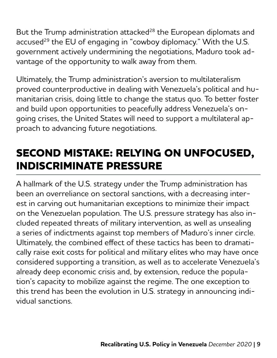<span id="page-8-0"></span>But the Trump administration attacked<sup>28</sup> the European diplomats and accused<sup>29</sup> the EU of engaging in "cowboy diplomacy." With the U.S. government actively undermining the negotiations, Maduro took advantage of the opportunity to walk away from them.

Ultimately, the Trump administration's aversion to multilateralism proved counterproductive in dealing with Venezuela's political and humanitarian crisis, doing little to change the status quo. To better foster and build upon opportunities to peacefully address Venezuela's ongoing crises, the United States will need to support a multilateral approach to advancing future negotiations.

## **SECOND MISTAKE: RELYING ON UNFOCUSED, INDISCRIMINATE PRESSURE**

A hallmark of the U.S. strategy under the Trump administration has been an overreliance on sectoral sanctions, with a decreasing interest in carving out humanitarian exceptions to minimize their impact on the Venezuelan population. The U.S. pressure strategy has also included repeated threats of military intervention, as well as unsealing a series of indictments against top members of Maduro's inner circle. Ultimately, the combined effect of these tactics has been to dramatically raise exit costs for political and military elites who may have once considered supporting a transition, as well as to accelerate Venezuela's already deep economic crisis and, by extension, reduce the population's capacity to mobilize against the regime. The one exception to this trend has been the evolution in U.S. strategy in announcing individual sanctions.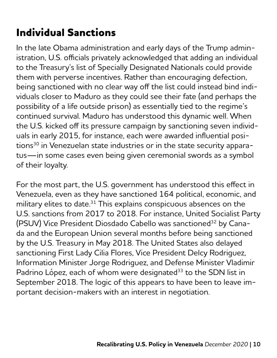#### **Individual Sanctions**

In the late Obama administration and early days of the Trump administration, U.S. officials privately acknowledged that adding an individual to the Treasury's list of Specially Designated Nationals could provide them with perverse incentives. Rather than encouraging defection, being sanctioned with no clear way off the list could instead bind individuals closer to Maduro as they could see their fate (and perhaps the possibility of a life outside prison) as essentially tied to the regime's continued survival. Maduro has understood this dynamic well. When the U.S. kicked off its pressure campaign by sanctioning seven individuals in early 2015, for instance, each were awarded influential positions<sup>30</sup> in Venezuelan state industries or in the state security apparatus—in some cases even being given ceremonial swords as a symbol of their loyalty.

For the most part, the U.S. government has understood this effect in Venezuela, even as they have sanctioned 164 political, economic, and military elites to date. $31$  This explains conspicuous absences on the U.S. sanctions from 2017 to 2018. For instance, United Socialist Party (PSUV) Vice President Diosdado Cabello was sanctioned<sup>32</sup> by Canada and the European Union several months before being sanctioned by the U.S. Treasury in May 2018. The United States also delayed sanctioning First Lady Cilia Flores, Vice President Delcy Rodriguez, Information Minister Jorge Rodriguez, and Defense Minister Vladimir Padrino López, each of whom were designated<sup>33</sup> to the SDN list in September 2018. The logic of this appears to have been to leave important decision-makers with an interest in negotiation.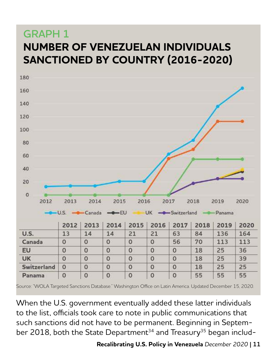#### **GRAPH 1**

#### **NUMBER OF VENEZUELAN INDIVIDUALS SANCTIONED BY COUNTRY (2016-2020)**



Source: "WOLA Targeted Sanctions Database." Washington Office on Latin America. Updated December 15, 2020.

When the U.S. government eventually added these latter individuals to the list, officials took care to note in public communications that such sanctions did not have to be permanent. Beginning in September 2018, both the State Department<sup>34</sup> and Treasury<sup>35</sup> began includ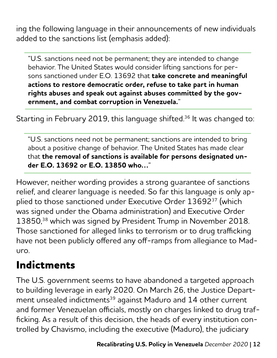ing the following language in their announcements of new individuals added to the sanctions list (emphasis added):

"U.S. sanctions need not be permanent; they are intended to change behavior. The United States would consider lifting sanctions for persons sanctioned under E.O. 13692 that **take concrete and meaningful actions to restore democratic order, refuse to take part in human rights abuses and speak out against abuses committed by the government, and combat corruption in Venezuela.**"

Starting in February 2019, this language shifted.<sup>36</sup> It was changed to:

"U.S. sanctions need not be permanent; sanctions are intended to bring about a positive change of behavior. The United States has made clear that **the removal of sanctions is available for persons designated under E.O. 13692 or E.O. 13850 who…**"

However, neither wording provides a strong guarantee of sanctions relief, and clearer language is needed. So far this language is only applied to those sanctioned under Executive Order 13692<sup>37</sup> (which was signed under the Obama administration) and Executive Order 13850,<sup>38</sup> which was signed by President Trump in November 2018. Those sanctioned for alleged links to terrorism or to drug trafficking have not been publicly offered any off-ramps from allegiance to Maduro.

### **Indictments**

The U.S. government seems to have abandoned a targeted approach to building leverage in early 2020. On March 26, the Justice Department unsealed indictments<sup>39</sup> against Maduro and 14 other current and former Venezuelan officials, mostly on charges linked to drug trafficking. As a result of this decision, the heads of every institution controlled by Chavismo, including the executive (Maduro), the judiciary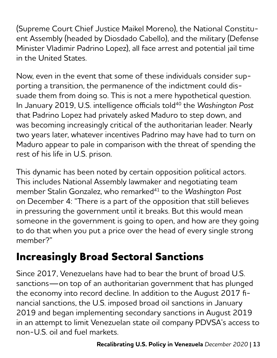(Supreme Court Chief Justice Maikel Moreno), the National Constituent Assembly (headed by Diosdado Cabello), and the military (Defense Minister Vladimir Padrino Lopez), all face arrest and potential jail time in the United States.

Now, even in the event that some of these individuals consider supporting a transition, the permanence of the indictment could dissuade them from doing so. This is not a mere hypothetical question. In January 2019, U.S. intelligence officials told<sup>40</sup> the *Washington Post* that Padrino Lopez had privately asked Maduro to step down, and was becoming increasingly critical of the authoritarian leader. Nearly two years later, whatever incentives Padrino may have had to turn on Maduro appear to pale in comparison with the threat of spending the rest of his life in U.S. prison.

This dynamic has been noted by certain opposition political actors. This includes National Assembly lawmaker and negotiating team member Stalin Gonzalez, who remarked<sup>41</sup> to the *Washington Post* on December 4: "There is a part of the opposition that still believes in pressuring the government until it breaks. But this would mean someone in the government is going to open, and how are they going to do that when you put a price over the head of every single strong member?"

### **Increasingly Broad Sectoral Sanctions**

Since 2017, Venezuelans have had to bear the brunt of broad U.S. sanctions—on top of an authoritarian government that has plunged the economy into record decline. In addition to the August 2017 financial sanctions, the U.S. imposed broad oil sanctions in January 2019 and began implementing secondary sanctions in August 2019 in an attempt to limit Venezuelan state oil company PDVSA's access to non-U.S. oil and fuel markets.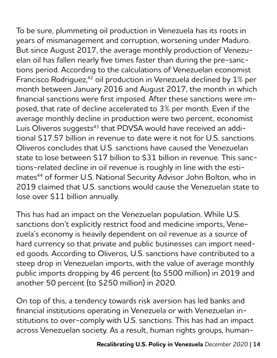To be sure, plummeting oil production in Venezuela has its roots in years of mismanagement and corruption, worsening under Maduro. But since August 2017, the average monthly production of Venezuelan oil has fallen nearly five times faster than during the pre-sanctions period. According to the calculations of Venezuelan economist Francisco Rodriguez,<sup>42</sup> oil production in Venezuela declined by 1% per month between January 2016 and August 2017, the month in which financial sanctions were first imposed. After these sanctions were imposed, that rate of decline accelerated to 3% per month. Even if the average monthly decline in production were two percent, economist Luis Oliveros suggests<sup>43</sup> that PDVSA would have received an additional \$17.57 billion in revenue to date were it not for U.S. sanctions. Oliveros concludes that U.S. sanctions have caused the Venezuelan state to lose between \$17 billion to \$31 billion in revenue. This sanctions-related decline in oil revenue is roughly in line with the estimates<sup>44</sup> of former U.S. National Security Advisor John Bolton, who in 2019 claimed that U.S. sanctions would cause the Venezuelan state to lose over \$11 billion annually.

This has had an impact on the Venezuelan population. While U.S. sanctions don't explicitly restrict food and medicine imports, Venezuela's economy is heavily dependent on oil revenue as a source of hard currency so that private and public businesses can import needed goods. According to Oliveros, U.S. sanctions have contributed to a steep drop in Venezuelan imports, with the value of average monthly public imports dropping by 46 percent (to \$500 million) in 2019 and another 50 percent (to \$250 million) in 2020.

On top of this, a tendency towards risk aversion has led banks and financial institutions operating in Venezuela or with Venezuelan institutions to over-comply with U.S. sanctions. This has had an impact across Venezuelan society. As a result, human rights groups, human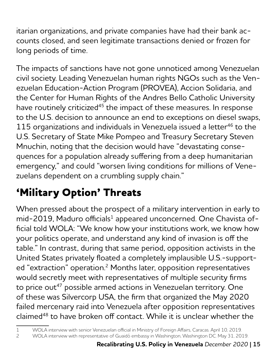itarian organizations, and private companies have had their bank accounts closed, and seen legitimate transactions denied or frozen for long periods of time.

The impacts of sanctions have not gone unnoticed among Venezuelan civil society. Leading Venezuelan human rights NGOs such as the Venezuelan Education-Action Program (PROVEA), Accion Solidaria, and the Center for Human Rights of the Andres Bello Catholic University have routinely criticized<sup>45</sup> the impact of these measures. In response to the U.S. decision to announce an end to exceptions on diesel swaps, 115 organizations and individuals in Venezuela issued a letter<sup>46</sup> to the U.S. Secretary of State Mike Pompeo and Treasury Secretary Steven Mnuchin, noting that the decision would have "devastating consequences for a population already suffering from a deep humanitarian emergency," and could "worsen living conditions for millions of Venezuelans dependent on a crumbling supply chain."

### **'Military Option' Threats**

When pressed about the prospect of a military intervention in early to mid-2019, Maduro officials<sup>1</sup> appeared unconcerned. One Chavista official told WOLA: "We know how your institutions work, we know how your politics operate, and understand any kind of invasion is off the table." In contrast, during that same period, opposition activists in the United States privately floated a completely implausible U.S.-supported "extraction" operation.<sup>2</sup> Months later, opposition representatives would secretly meet with representatives of multiple security firms to price out<sup>47</sup> possible armed actions in Venezuelan territory. One of these was Silvercorp USA, the firm that organized the May 2020 failed mercenary raid into Venezuela after opposition representatives claimed<sup>48</sup> to have broken off contact. While it is unclear whether the

<sup>1</sup> WOLA interview with senior Venezuelan official in Ministry of Foreign Affairs, Caracas. April 10, 2019.

<sup>2</sup> WOLA interview with representative of Guaidó embassy in Washington, Washington DC. May 31, 2019.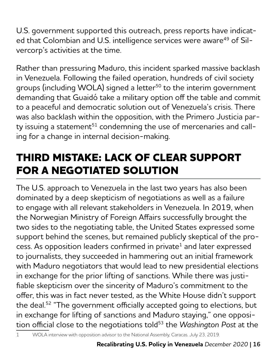<span id="page-15-0"></span>U.S. government supported this outreach, press reports have indicated that Colombian and U.S. intelligence services were aware<sup>49</sup> of Silvercorp's activities at the time.

Rather than pressuring Maduro, this incident sparked massive backlash in Venezuela. Following the failed operation, hundreds of civil society groups (including WOLA) signed a letter<sup>50</sup> to the interim government demanding that Guaidó take a military option off the table and commit to a peaceful and democratic solution out of Venezuela's crisis. There was also backlash within the opposition, with the Primero Justicia party issuing a statement $51$  condemning the use of mercenaries and calling for a change in internal decision-making.

## **THIRD MISTAKE: LACK OF CLEAR SUPPORT FOR A NEGOTIATED SOLUTION**

The U.S. approach to Venezuela in the last two years has also been dominated by a deep skepticism of negotiations as well as a failure to engage with all relevant stakeholders in Venezuela. In 2019, when the Norwegian Ministry of Foreign Affairs successfully brought the two sides to the negotiating table, the United States expressed some support behind the scenes, but remained publicly skeptical of the process. As opposition leaders confirmed in private $^{\rm 1}$  and later expressed to journalists, they succeeded in hammering out an initial framework with Maduro negotiators that would lead to new presidential elections in exchange for the prior lifting of sanctions. While there was justifiable skepticism over the sincerity of Maduro's commitment to the offer, this was in fact never tested, as the White House didn't support the deal.<sup>52</sup> "The government officially accepted going to elections, but in exchange for lifting of sanctions and Maduro staying," one opposition official close to the negotiations told<sup>53</sup> the *Washington Post* at the

<sup>1</sup> WOLA interview with opposition advisor to the National Assembly, Caracas. July 23, 2019.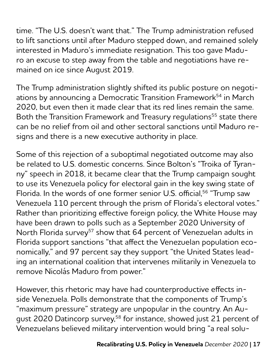time. "The U.S. doesn't want that." The Trump administration refused to lift sanctions until after Maduro stepped down, and remained solely interested in Maduro's immediate resignation. This too gave Maduro an excuse to step away from the table and negotiations have remained on ice since August 2019.

The Trump administration slightly shifted its public posture on negotiations by announcing a Democratic Transition Framework<sup>54</sup> in March 2020, but even then it made clear that its red lines remain the same. Both the Transition Framework and Treasury regulations<sup>55</sup> state there can be no relief from oil and other sectoral sanctions until Maduro resigns and there is a new executive authority in place.

Some of this rejection of a suboptimal negotiated outcome may also be related to U.S. domestic concerns. Since Bolton's "Troika of Tyranny" speech in 2018, it became clear that the Trump campaign sought to use its Venezuela policy for electoral gain in the key swing state of Florida. In the words of one former senior U.S. official,<sup>56</sup> "Trump saw Venezuela 110 percent through the prism of Florida's electoral votes." Rather than prioritizing effective foreign policy, the White House may have been drawn to polls such as a September 2020 University of North Florida survey<sup>57</sup> show that 64 percent of Venezuelan adults in Florida support sanctions "that affect the Venezuelan population economically," and 97 percent say they support "the United States leading an international coalition that intervenes militarily in Venezuela to remove Nicolás Maduro from power."

However, this rhetoric may have had counterproductive effects inside Venezuela. Polls demonstrate that the components of Trump's "maximum pressure" strategy are unpopular in the country. An August 2020 Datincorp survey,<sup>58</sup> for instance, showed just 21 percent of Venezuelans believed military intervention would bring "a real solu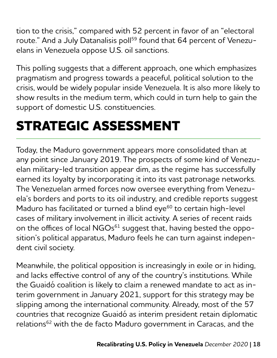<span id="page-17-0"></span>tion to the crisis," compared with 52 percent in favor of an "electoral route." And a July Datanalisis poll<sup>59</sup> found that 64 percent of Venezuelans in Venezuela oppose U.S. oil sanctions.

This polling suggests that a different approach, one which emphasizes pragmatism and progress towards a peaceful, political solution to the crisis, would be widely popular inside Venezuela. It is also more likely to show results in the medium term, which could in turn help to gain the support of domestic U.S. constituencies.

## **STRATEGIC ASSESSMENT**

Today, the Maduro government appears more consolidated than at any point since January 2019. The prospects of some kind of Venezuelan military-led transition appear dim, as the regime has successfully earned its loyalty by incorporating it into its vast patronage networks. The Venezuelan armed forces now oversee everything from Venezuela's borders and ports to its oil industry, and credible reports suggest Maduro has facilitated or turned a blind eye<sup>60</sup> to certain high-level cases of military involvement in illicit activity. A series of recent raids on the offices of local NGOs<sup>61</sup> suggest that, having bested the opposition's political apparatus, Maduro feels he can turn against independent civil society.

Meanwhile, the political opposition is increasingly in exile or in hiding, and lacks effective control of any of the country's institutions. While the Guaidó coalition is likely to claim a renewed mandate to act as interim government in January 2021, support for this strategy may be slipping among the international community. Already, most of the 57 countries that recognize Guaidó as interim president retain diplomatic relations<sup>62</sup> with the de facto Maduro government in Caracas, and the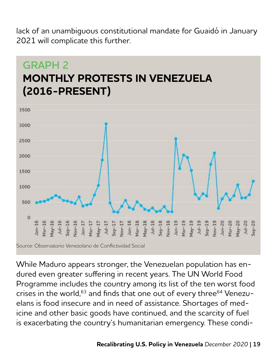lack of an unambiguous constitutional mandate for Guaidó in January 2021 will complicate this further.



While Maduro appears stronger, the Venezuelan population has endured even greater suffering in recent years. The UN World Food Programme includes the country among its list of the ten worst food crises in the world,<sup>63</sup> and finds that one out of every three<sup>64</sup> Venezuelans is food insecure and in need of assistance. Shortages of medicine and other basic goods have continued, and the scarcity of fuel is exacerbating the country's humanitarian emergency. These condi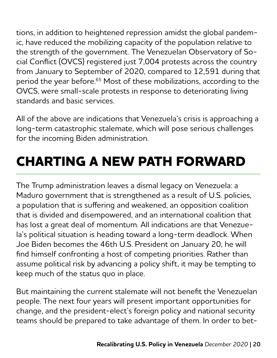<span id="page-19-0"></span>tions, in addition to heightened repression amidst the global pandemic, have reduced the mobilizing capacity of the population relative to the strength of the government. The Venezuelan Observatory of Social Conflict (OVCS) registered just 7,004 protests across the country from January to September of 2020, compared to 12,591 during that period the year before.<sup>65</sup> Most of these mobilizations, according to the OVCS, were small-scale protests in response to deteriorating living standards and basic services.

All of the above are indications that Venezuela's crisis is approaching a long-term catastrophic stalemate, which will pose serious challenges for the incoming Biden administration.

## **CHARTING A NEW PATH FORWARD**

The Trump administration leaves a dismal legacy on Venezuela: a Maduro government that is strengthened as a result of U.S. policies, a population that is suffering and weakened, an opposition coalition that is divided and disempowered, and an international coalition that has lost a great deal of momentum. All indications are that Venezuela's political situation is heading toward a long-term deadlock. When Joe Biden becomes the 46th U.S. President on January 20, he will find himself confronting a host of competing priorities. Rather than assume political risk by advancing a policy shift, it may be tempting to keep much of the status quo in place.

But maintaining the current stalemate will not benefit the Venezuelan people. The next four years will present important opportunities for change, and the president-elect's foreign policy and national security teams should be prepared to take advantage of them. In order to bet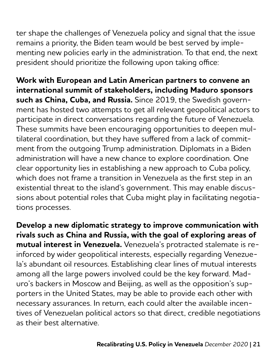ter shape the challenges of Venezuela policy and signal that the issue remains a priority, the Biden team would be best served by implementing new policies early in the administration. To that end, the next president should prioritize the following upon taking office:

**Work with European and Latin American partners to convene an international summit of stakeholders, including Maduro sponsors such as China, Cuba, and Russia.** Since 2019, the Swedish government has hosted two attempts to get all relevant geopolitical actors to participate in direct conversations regarding the future of Venezuela. These summits have been encouraging opportunities to deepen multilateral coordination, but they have suffered from a lack of commitment from the outgoing Trump administration. Diplomats in a Biden administration will have a new chance to explore coordination. One clear opportunity lies in establishing a new approach to Cuba policy, which does not frame a transition in Venezuela as the first step in an existential threat to the island's government. This may enable discussions about potential roles that Cuba might play in facilitating negotiations processes.

**Develop a new diplomatic strategy to improve communication with rivals such as China and Russia, with the goal of exploring areas of mutual interest in Venezuela.** Venezuela's protracted stalemate is reinforced by wider geopolitical interests, especially regarding Venezuela's abundant oil resources. Establishing clear lines of mutual interests among all the large powers involved could be the key forward. Maduro's backers in Moscow and Beijing, as well as the opposition's supporters in the United States, may be able to provide each other with necessary assurances. In return, each could alter the available incentives of Venezuelan political actors so that direct, credible negotiations as their best alternative.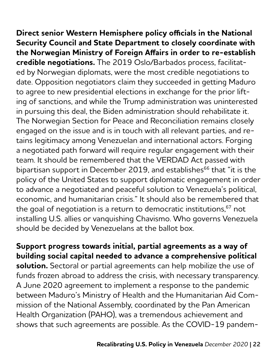**Direct senior Western Hemisphere policy officials in the National Security Council and State Department to closely coordinate with the Norwegian Ministry of Foreign Affairs in order to re-establish credible negotiations.** The 2019 Oslo/Barbados process, facilitated by Norwegian diplomats, were the most credible negotiations to date. Opposition negotiators claim they succeeded in getting Maduro to agree to new presidential elections in exchange for the prior lifting of sanctions, and while the Trump administration was uninterested in pursuing this deal, the Biden administration should rehabilitate it. The Norwegian Section for Peace and Reconciliation remains closely engaged on the issue and is in touch with all relevant parties, and retains legitimacy among Venezuelan and international actors. Forging a negotiated path forward will require regular engagement with their team. It should be remembered that the VERDAD Act passed with bipartisan support in December 2019, and establishes<sup>66</sup> that "it is the policy of the United States to support diplomatic engagement in order to advance a negotiated and peaceful solution to Venezuela's political, economic, and humanitarian crisis." It should also be remembered that the goal of negotiation is a return to democratic institutions,<sup>67</sup> not installing U.S. allies or vanquishing Chavismo. Who governs Venezuela should be decided by Venezuelans at the ballot box.

**Support progress towards initial, partial agreements as a way of building social capital needed to advance a comprehensive political solution.** Sectoral or partial agreements can help mobilize the use of funds frozen abroad to address the crisis, with necessary transparency. A June 2020 agreement to implement a response to the pandemic between Maduro's Ministry of Health and the Humanitarian Aid Commission of the National Assembly, coordinated by the Pan American Health Organization (PAHO), was a tremendous achievement and shows that such agreements are possible. As the COVID-19 pandem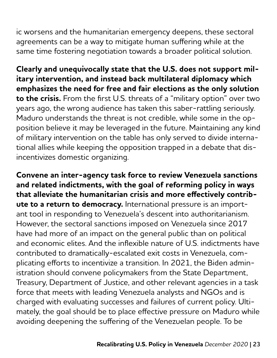ic worsens and the humanitarian emergency deepens, these sectoral agreements can be a way to mitigate human suffering while at the same time fostering negotiation towards a broader political solution.

**Clearly and unequivocally state that the U.S. does not support military intervention, and instead back multilateral diplomacy which emphasizes the need for free and fair elections as the only solution to the crisis.** From the first U.S. threats of a "military option" over two years ago, the wrong audience has taken this saber-rattling seriously. Maduro understands the threat is not credible, while some in the opposition believe it may be leveraged in the future. Maintaining any kind of military intervention on the table has only served to divide international allies while keeping the opposition trapped in a debate that disincentivizes domestic organizing.

**Convene an inter-agency task force to review Venezuela sanctions and related indictments, with the goal of reforming policy in ways that alleviate the humanitarian crisis and more effectively contribute to a return to democracy.** International pressure is an important tool in responding to Venezuela's descent into authoritarianism. However, the sectoral sanctions imposed on Venezuela since 2017 have had more of an impact on the general public than on political and economic elites. And the inflexible nature of U.S. indictments have contributed to dramatically-escalated exit costs in Venezuela, complicating efforts to incentivize a transition. In 2021, the Biden administration should convene policymakers from the State Department, Treasury, Department of Justice, and other relevant agencies in a task force that meets with leading Venezuela analysts and NGOs and is charged with evaluating successes and failures of current policy. Ultimately, the goal should be to place effective pressure on Maduro while avoiding deepening the suffering of the Venezuelan people. To be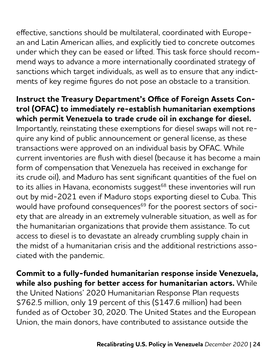effective, sanctions should be multilateral, coordinated with European and Latin American allies, and explicitly tied to concrete outcomes under which they can be eased or lifted. This task force should recommend ways to advance a more internationally coordinated strategy of sanctions which target individuals, as well as to ensure that any indictments of key regime figures do not pose an obstacle to a transition.

**Instruct the Treasury Department's Office of Foreign Assets Control (OFAC) to immediately re-establish humanitarian exemptions which permit Venezuela to trade crude oil in exchange for diesel.** Importantly, reinstating these exemptions for diesel swaps will not require any kind of public announcement or general license, as these transactions were approved on an individual basis by OFAC. While current inventories are flush with diesel (because it has become a main form of compensation that Venezuela has received in exchange for its crude oil), and Maduro has sent significant quantities of the fuel on to its allies in Havana, economists suggest<sup>68</sup> these inventories will run out by mid-2021 even if Maduro stops exporting diesel to Cuba. This would have profound consequences<sup>69</sup> for the poorest sectors of society that are already in an extremely vulnerable situation, as well as for the humanitarian organizations that provide them assistance. To cut access to diesel is to devastate an already crumbling supply chain in the midst of a humanitarian crisis and the additional restrictions associated with the pandemic.

**Commit to a fully-funded humanitarian response inside Venezuela, while also pushing for better access for humanitarian actors.** While the United Nations' 2020 Humanitarian Response Plan requests \$762.5 million, only 19 percent of this (\$147.6 million) had been funded as of October 30, 2020. The United States and the European Union, the main donors, have contributed to assistance outside the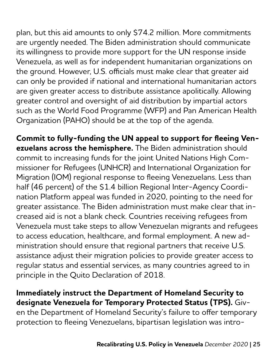plan, but this aid amounts to only \$74.2 million. More commitments are urgently needed. The Biden administration should communicate its willingness to provide more support for the UN response inside Venezuela, as well as for independent humanitarian organizations on the ground. However, U.S. officials must make clear that greater aid can only be provided if national and international humanitarian actors are given greater access to distribute assistance apolitically. Allowing greater control and oversight of aid distribution by impartial actors such as the World Food Programme (WFP) and Pan American Health Organization (PAHO) should be at the top of the agenda.

**Commit to fully-funding the UN appeal to support for fleeing Venezuelans across the hemisphere.** The Biden administration should commit to increasing funds for the joint United Nations High Commissioner for Refugees (UNHCR) and International Organization for Migration (IOM) regional response to fleeing Venezuelans. Less than half (46 percent) of the \$1.4 billion Regional Inter-Agency Coordination Platform appeal was funded in 2020, pointing to the need for greater assistance. The Biden administration must make clear that increased aid is not a blank check. Countries receiving refugees from Venezuela must take steps to allow Venezuelan migrants and refugees to access education, healthcare, and formal employment. A new administration should ensure that regional partners that receive U.S. assistance adjust their migration policies to provide greater access to regular status and essential services, as many countries agreed to in principle in the Quito Declaration of 2018.

#### **Immediately instruct the Department of Homeland Security to designate Venezuela for Temporary Protected Status (TPS).** Giv-

en the Department of Homeland Security's failure to offer temporary protection to fleeing Venezuelans, bipartisan legislation was intro-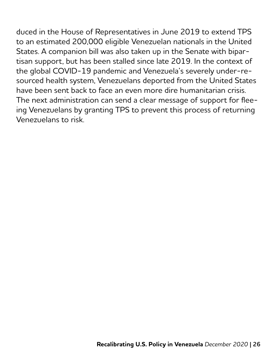duced in the House of Representatives in June 2019 to extend TPS to an estimated 200,000 eligible Venezuelan nationals in the United States. A companion bill was also taken up in the Senate with bipartisan support, but has been stalled since late 2019. In the context of the global COVID-19 pandemic and Venezuela's severely under-resourced health system, Venezuelans deported from the United States have been sent back to face an even more dire humanitarian crisis. The next administration can send a clear message of support for fleeing Venezuelans by granting TPS to prevent this process of returning Venezuelans to risk.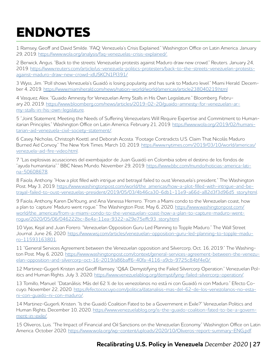## **ENDNOTES**

1 Ramsey, Geoff and David Smilde. "FAQ: Venezuela's Crisis Explained." Washington Office on Latin America. January 29, 2019.<https://www.wola.org/analysis/faq-venezuelas-crisis-explained/.>

2 Berwick, Angus. "Back to the streets: Venezuelan protests against Maduro draw new crowd." Reuters. January 24, 2019. [https://www.reuters.com/article/us-venezuela-politics-protesters/back-to-the-streets-venezuelan-protests](https://www.reuters.com/article/us-venezuela-politics-protesters/back-to-the-streets-venezuelan-prot)[against-maduro-draw-new-crowd-idUSKCN1PI391/](https://www.reuters.com/article/us-venezuela-politics-protesters/back-to-the-streets-venezuelan-prot)

3 Wyss, Jim. "Poll shows Venezuela's Guaidó is losing popularity and has sunk to Maduro level." Miami Herald. December 4, 2019.<https://www.miamiherald.com/news/nation-world/world/americas/article238040219.html>

4 Vasquez, Alex. "Guaido Amnesty for Venezuelan Army Stalls in His Own Legislature." Bloomberg. February 20, 2019. [https://www.bloomberg.com/news/articles/2019-02-20/guaido-amnesty-for-venezuelan-ar](https://www.bloomberg.com/news/articles/2019-02-20/guaido-amnesty-for-venezuelan-army-stalls-in-his-)[my-stalls-in-his-own-legislature](https://www.bloomberg.com/news/articles/2019-02-20/guaido-amnesty-for-venezuelan-army-stalls-in-his-).

5 "Joint Statement: Meeting the Needs of Suffering Venezuelans Will Require Expertise and Commitment to Humanitarian Principles." Washington Office on Latin America. February 21, 2019. [https://www.wola.org/2019/02/humani](https://www.wola.org/2019/02/humanitarian-aid-venezuela-civil-society-statement/)[tarian-aid-venezuela-civil-society-statement/](https://www.wola.org/2019/02/humanitarian-aid-venezuela-civil-society-statement/).

6 Casey, Nicholas, Christoph Koettl, and Deborah Acosta. "Footage Contradicts U.S. Claim That Nicolás Maduro Burned Aid Convoy." The New York Times. March 10, 2019. [https://www.nytimes.com/2019/03/10/world/americas/](https://www.nytimes.com/2019/03/10/world/americas/venezuela-aid-fire-video.html) [venezuela-aid-fire-video.html.](https://www.nytimes.com/2019/03/10/world/americas/venezuela-aid-fire-video.html)

7 "Las explosivas acusaciones del exembajador de Juan Guaidó en Colombia sobre el destino de los fondos de "ayuda humanitaria"." BBC News Mundo. November 29, 2019. [https://www.bbc.com/mundo/noticias-america-lati](https://www.bbc.com/mundo/noticias-america-latina-50608678)[na-50608678](https://www.bbc.com/mundo/noticias-america-latina-50608678).

8 Faiola, Anthony. "How a plot filled with intrigue and betrayal failed to oust Venezuela's president." The Washington Post. May 3, 2019. [https://www.washingtonpost.com/world/the\\_americas/how-a-plot-filled-with-intrigue-and-be](https://www.washingtonpost.com/world/the_americas/how-a-plot-filled-with-intrigue-and-betrayal-faile)[trayal-failed-to-oust-venezuelas-president/2019/05/03/4b46ca30-6db1-11e9-a66d-a82d3f3d96d5\\_story.html](https://www.washingtonpost.com/world/the_americas/how-a-plot-filled-with-intrigue-and-betrayal-faile).

9 Faiola, Anthony, Karen DeYoung, and Ana Vanessa Herrero. "From a Miami condo to the Venezuelan coast, how a plan to 'capture' Maduro went rogue." The Washington Post. May 6, 2020. [https://www.washingtonpost.com/](https://www.washingtonpost.com/world/the_americas/from-a-miami-condo-to-the-venezuelan-coast-how-a-p) [world/the\\_americas/from-a-miami-condo-to-the-venezuelan-coast-how-a-plan-to-capture-maduro-went](https://www.washingtonpost.com/world/the_americas/from-a-miami-condo-to-the-venezuelan-coast-how-a-p)[rogue/2020/05/06/046222bc-8e4a-11ea-9322-a29e75effc93\\_story.html.](https://www.washingtonpost.com/world/the_americas/from-a-miami-condo-to-the-venezuelan-coast-how-a-p)

10 Vyas, Kejal and Juan Forero. "Venezuelan Opposition Guru Led Planning to Topple Maduro." The Wall Street Journal. June 26, 2020. [https://www.wsj.com/articles/venezuelan-opposition-guru-led-planning-to-topple-madu](https://www.wsj.com/articles/venezuelan-opposition-guru-led-planning-to-topple-maduro-11593163801)[ro-11593163801](https://www.wsj.com/articles/venezuelan-opposition-guru-led-planning-to-topple-maduro-11593163801).

11 "General Services Agreement between the Venezuelan opposition and Silvercorp, Oct. 16, 2019." The Washington Post. May 6, 2020. [https://www.washingtonpost.com/context/general-services-agreement-between-the-venezu](https://www.washingtonpost.com/context/general-services-agreement-between-the-venezuelan-opposition-)[elan-opposition-and-silvercorp-oct-16-2019/a86baff6-40fa-4116-a9cb-9725c84bf4e0/.](https://www.washingtonpost.com/context/general-services-agreement-between-the-venezuelan-opposition-)

12 Martinez-Gugerli Kristen and Geoff Ramsey. "Q&A: Demystifying the Failed Silvercorp Operation." Venezuelan Politics and Human Rights. July 3, 2020.<https://www.venezuelablog.org/demystifying-failed-silvercorp-operation/>.

13 Tomillo, Manuel. "Datanálisis: Más del 62 % de los venezolanos no está ni con Guaidó ni con Maduro." Efecto Cocuyo. November 22, 2020. [https://efectococuyo.com/politica/datanalisis-mas-del-62-de-los-venezolanos-no-esta](https://efectococuyo.com/politica/datanalisis-mas-del-62-de-los-venezolanos-no-esta-ni-con-guaido-ni)[ni-con-guaido-ni-con-maduro/](https://efectococuyo.com/politica/datanalisis-mas-del-62-de-los-venezolanos-no-esta-ni-con-guaido-ni).

14 Martinez-Gugerli, Kristen. "Is the Guaidó Coalition Fated to be a Government in Exile?" Venezuelan Politics and Human Rights. December 10, 2020. [https://www.venezuelablog.org/is-the-guaido-coalition-fated-to-be-a-govern](https://www.venezuelablog.org/is-the-guaido-coalition-fated-to-be-a-government-in-exile/)[ment-in-exile/](https://www.venezuelablog.org/is-the-guaido-coalition-fated-to-be-a-government-in-exile/).

15 Oliveros, Luis. "The Impact of Financial and Oil Sanctions on the Venezuelan Economy." Washington Office on Latin America. October 2020. <https://www.wola.org/wp-content/uploads/2020/10/Oliveros-report-summary-ENG.pdf>.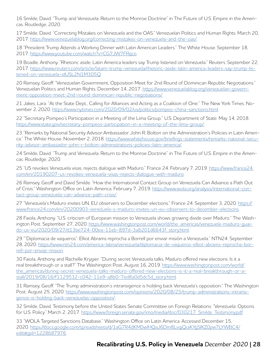16 Smilde, David. "Trump and Venezuela: Return to the Monroe Doctrine" in The Future of U.S. Empire in the Americas. Routledge, 2020.

17 Smilde, David. "Correcting Mistakes on Venezuela and the OAS." Venezuelan Politics and Human Rights. March 20, 2017. [https://www.venezuelablog.org/correcting-mistakes-on-venezuela-and-the-oas/.](https://www.venezuelablog.org/correcting-mistakes-on-venezuela-and-the-oas/)

18 "President Trump Attends a Working Dinner with Latin American Leaders." The White House. September 18, 2017. [https://www.youtube.com/watch?v=CG7JW7FRqco.](https://www.youtube.com/watch?v=CG7JW7FRqco)

19 Boadle, Anthony. "Rhetoric aside, Latin America leaders say Trump listened on Venezuela." Reuters. September 22, 2017. [https://www.reuters.com/article/latam-trump-venezuela/rhetoric-aside-latin-america-leaders-say-trump-lis](https://www.reuters.com/article/latam-trump-venezuela/rhetoric-aside-latin-america-leaders-say-trump)[tened-on-venezuela-idUSL2N1M305Q.](https://www.reuters.com/article/latam-trump-venezuela/rhetoric-aside-latin-america-leaders-say-trump)

20 Ramsey, Geoff. "Venezuelan Government, Opposition Meet for 2nd Round of Dominican Republic Negotiations." Venezuelan Politics and Human Rights. December 14, 2017. [https://www.venezuelablog.org/venezuelan-govern](https://www.venezuelablog.org/venezuelan-government-opposition-meet-2nd-round-dominican-republic-neg)[ment-opposition-meet-2nd-round-dominican-republic-negotiations/](https://www.venezuelablog.org/venezuelan-government-opposition-meet-2nd-round-dominican-republic-neg).

21 Jakes, Lara. "At the State Dept., Calling for Alliances and Acting as a Coalition of One." The New York Times. November 2, 2020.<https://www.nytimes.com/2020/09/02/us/politics/pompeo-china-sanctions.html>.

22 "Secretary Pompeo's Participation in a Meeting of the Lima Group." U.S. Department of State. May 14, 2018. <https://www.state.gov/secretary-pompeos-participation-in-a-meeting-of-the-lima-group/>.

23 "Remarks by National Security Advisor Ambassador John R. Bolton on the Administration's Policies in Latin America." The White House. November 2, 2018. [https://www.whitehouse.gov/briefings-statements/remarks-national-secu](https://www.whitehouse.gov/briefings-statements/remarks-national-security-advisor-ambassador-john-r-)[rity-advisor-ambassador-john-r-bolton-administrations-policies-latin-america/](https://www.whitehouse.gov/briefings-statements/remarks-national-security-advisor-ambassador-john-r-).

24 Smilde, David. "Trump and Venezuela: Return to the Monroe Doctrine" in The Future of U.S. Empire in the Americas. Routledge, 2020.

25 "US revokes Venezuela visas, rejects dialogue with Maduro." France 24. February 7, 2019. [https://www.france24.](https://www.france24.com/en/20190207-us-revokes-venezuela-visas-rejects-dialogue-with-maduro) [com/en/20190207-us-revokes-venezuela-visas-rejects-dialogue-with-maduro](https://www.france24.com/en/20190207-us-revokes-venezuela-visas-rejects-dialogue-with-maduro).

26 Ramsey, Geoff and David Smilde. "How the International Contact Group on Venezuela Can Advance a Path Out of Crisis." Washington Office on Latin America. February 7, 2019. [https://www.wola.org/analysis/international-con](https://www.wola.org/analysis/international-contact-group-venezuela-can-advance-path-crisis/)[tact-group-venezuela-can-advance-path-crisis/](https://www.wola.org/analysis/international-contact-group-venezuela-can-advance-path-crisis/).

27 "Venezuela's Maduro invites UN, EU observers to December elections." France 24. September 3, 2020. [https://](https://www.france24.com/en/20200903-venezuela-s-maduro-invites-un-eu-observers-to-december-election) [www.france24.com/en/20200903-venezuela-s-maduro-invites-un-eu-observers-to-december-elections.](https://www.france24.com/en/20200903-venezuela-s-maduro-invites-un-eu-observers-to-december-election)

28 Faiola, Anthony. "U.S. criticism of European mission to Venezuela shows growing divide over Maduro." The Washington Post. September 27, 2020. [https://www.washingtonpost.com/world/the\\_americas/venezuela-maduro-guai](https://www.washingtonpost.com/world/the_americas/venezuela-maduro-guaido-us-eu/2020/09/27/d13be724-)[do-us-eu/2020/09/27/d13be724-00ea-11eb-897d-3a6201d6643f\\_story.html.](https://www.washingtonpost.com/world/the_americas/venezuela-maduro-guaido-us-eu/2020/09/27/d13be724-)

29 ""Diplomacia de vaqueros": Elliot Abrams reprocha a Borrell por enviar misión a Venezuela." NTN24. September 28, 2020. [https://www.ntn24.com/america-latina/venezuela/diplomacia-de-vaqueros-elliot-abrams-reprocha-bor](https://www.ntn24.com/america-latina/venezuela/diplomacia-de-vaqueros-elliot-abrams-reprocha-borrell)[rell-por-enviar-mision](https://www.ntn24.com/america-latina/venezuela/diplomacia-de-vaqueros-elliot-abrams-reprocha-borrell).

30 Faiola, Anthony and Rachelle Krygier. "During secret Venezuela talks, Maduro offered new elections. Is it a real breakthrough or a stall?" The Washington Post. August 16, 2019. [https://www.washingtonpost.com/world/](https://www.washingtonpost.com/world/the_americas/during-secret-venezuela-talks-maduro-offered-new-e) [the\\_americas/during-secret-venezuela-talks-maduro-offered-new-elections-is-it-a-real-breakthrough-or-a](https://www.washingtonpost.com/world/the_americas/during-secret-venezuela-talks-maduro-offered-new-e)[stall/2019/08/16/f1129532-c042-11e9-a8b0-7ed8a0d5dc5d\\_story.html](https://www.washingtonpost.com/world/the_americas/during-secret-venezuela-talks-maduro-offered-new-e).

31 Ramsey, Geoff. "The Trump administration's intransigence is holding back Venezuela's opposition." The Washington Post. August 25, 2020. [https://www.washingtonpost.com/opinions/2020/08/25/trump-administrations-intransi](https://www.washingtonpost.com/opinions/2020/08/25/trump-administrations-intransigence-is-holding-ba)[gence-is-holding-back-venezuelas-opposition/](https://www.washingtonpost.com/opinions/2020/08/25/trump-administrations-intransigence-is-holding-ba).

32 Smilde, David. Testimony before the United States Senate Committee on Foreign Relations: "Venezuela: Options for U.S. Policy." March 2, 2017. [https://www.foreign.senate.gov/imo/media/doc/030217\\_Smilde\\_Testimony.pdf](https://www.foreign.senate.gov/imo/media/doc/030217_Smilde_Testimony.pdf).

33 "WOLA Targeted Sanctions Database." Washington Office on Latin America. Accessed December 15, 2020. [https://docs.google.com/spreadsheets/d/1aG7R4dKM0wlHQaJ6Dm8LvqjQuiKYgSIKZ0pw7LYWBC4/](https://docs.google.com/spreadsheets/d/1aG7R4dKM0wlHQaJ6Dm8LvqjQuiKYgSIKZ0pw7LYWBC4/edit#gid=1228687) [edit#gid=1228687976](https://docs.google.com/spreadsheets/d/1aG7R4dKM0wlHQaJ6Dm8LvqjQuiKYgSIKZ0pw7LYWBC4/edit#gid=1228687).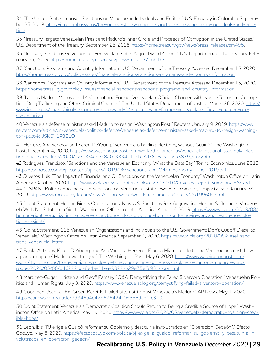34 "The United States Imposes Sanctions on Venezuelan Individuals and Entities." U.S. Embassy in Colombia. September 25, 2018. [https://co.usembassy.gov/the-united-states-imposes-sanctions-on-venezuelan-individuals-and-enti](https://co.usembassy.gov/the-united-states-imposes-sanctions-on-venezuelan-individuals-and-entities/)[ties/.](https://co.usembassy.gov/the-united-states-imposes-sanctions-on-venezuelan-individuals-and-entities/)

35 "Treasury Targets Venezuelan President Maduro's Inner Circle and Proceeds of Corruption in the United States." U.S. Department of the Treasury. September 25, 2018. <https://home.treasury.gov/news/press-releases/sm495>.

36 "Treasury Sanctions Governors of Venezuelan States Aligned with Maduro." U.S. Department of the Treasury. February 25, 2019.<https://home.treasury.gov/news/press-releases/sm616/>

37 "Sanctions Programs and Country Information." U.S. Department of the Treasury. Accessed December 15, 2020. [https://home.treasury.gov/policy-issues/financial-sanctions/sanctions-programs-and-country-information](https://home.treasury.gov/policy-issues/financial-sanctions/sanctions-programs-and-country-informati).

38 "Sanctions Programs and Country Information." U.S. Department of the Treasury. Accessed December 15, 2020. [https://home.treasury.gov/policy-issues/financial-sanctions/sanctions-programs-and-country-information](https://home.treasury.gov/policy-issues/financial-sanctions/sanctions-programs-and-country-informati).

39 "Nicolás Maduro Moros and 14 Current and Former Venezuelan Officials Charged with Narco-Terrorism, Corruption, Drug Trafficking and Other Criminal Charges." The United States Department of Justice. March 26, 2020. [https://](https://www.justice.gov/opa/pr/nicol-s-maduro-moros-and-14-current-and-former-venezuelan-officials-c) [www.justice.gov/opa/pr/nicol-s-maduro-moros-and-14-current-and-former-venezuelan-officials-charged-nar](https://www.justice.gov/opa/pr/nicol-s-maduro-moros-and-14-current-and-former-venezuelan-officials-c)[co-terrorism.](https://www.justice.gov/opa/pr/nicol-s-maduro-moros-and-14-current-and-former-venezuelan-officials-c)

40 Venezuela's defense minister asked Maduro to resign: Washington Post." Reuters. January 9, 2019. [https://www.](https://www.reuters.com/article/us-venezuela-politics-defense/venezuelas-defense-minister-asked-madu) [reuters.com/article/us-venezuela-politics-defense/venezuelas-defense-minister-asked-maduro-to-resign-washing](https://www.reuters.com/article/us-venezuela-politics-defense/venezuelas-defense-minister-asked-madu)[ton-post-idUSKCN1P32LQ.](https://www.reuters.com/article/us-venezuela-politics-defense/venezuelas-defense-minister-asked-madu)

41 Herrero, Ana Vanessa and Karen DeYoung. "Venezuela is holding elections, without Guaidó." The Washington Post. December 4, 2020. [https://www.washingtonpost.com/world/the\\_americas/venezuela-national-assembly-elec](https://www.washingtonpost.com/world/the_americas/venezuela-national-assembly-election-guaido-maduro)[tion-guaido-maduro/2020/12/03/4d93c820-3334-11eb-8d38-6aea1adb3839\\_story.html](https://www.washingtonpost.com/world/the_americas/venezuela-national-assembly-election-guaido-maduro).

42 Rodriguez, Francisco. "Sanctions and the Venezuelan Economy: What the Data Say." Torino Economics. June 2019. <https://torinocap.com/wp-content/uploads/2019/06/Sanctions-and-Vzlan-Economy-June-2019.pdf>

43 Oliveros, Luis. "The Impact of Financial and Oil Sanctions on the Venezuelan Economy." Washington Office on Latin America. October 2020. [https://www.wola.org/wp-content/uploads/2020/10/Oliveros-report-summary-ENG.pdf.](https://www.wola.org/wp-content/uploads/2020/10/Oliveros-report-summary-ENG.pdf. ) 44 C-SPAN. "Bolton announces U.S. sanctions on Venezuela's state-owned oil company." Impact2020. January 28, 2019. <https://www.mcclatchydc.com/news/nation-world/world/latin-america/article225199605.html>.

45 "Joint Statement: Human Rights Organizations: New U.S. Sanctions Risk Aggravating Human Suffering in Venezuela With No Solution in Sight." Washington Office on Latin America. August 6, 2019. [https://www.wola.org/2019/08/](https://www.wola.org/2019/08/human-rights-organizations-new-u-s-sanctions-risk-aggravating-human-suf) [human-rights-organizations-new-u-s-sanctions-risk-aggravating-human-suffering-in-venezuela-with-no-solu](https://www.wola.org/2019/08/human-rights-organizations-new-u-s-sanctions-risk-aggravating-human-suf)[tion-in-sight/](https://www.wola.org/2019/08/human-rights-organizations-new-u-s-sanctions-risk-aggravating-human-suf).

46 "Joint Statement: 115 Venezuelan Organizations and Individuals to the U.S. Government: Don't Cut off Diesel to Venezuela." Washington Office on Latin America. September 1, 2020. [https://www.wola.org/2020/09/diesel-sanc](https://www.wola.org/2020/09/diesel-sanctions-venezuela-letter/)[tions-venezuela-letter/.](https://www.wola.org/2020/09/diesel-sanctions-venezuela-letter/)

47 Faiola, Anthony, Karen DeYoung, and Ana Vanessa Herrero. "From a Miami condo to the Venezuelan coast, how a plan to 'capture' Maduro went rogue." The Washington Post. May 6, 2020. [https://www.washingtonpost.com/](https://www.washingtonpost.com/world/the_americas/from-a-miami-condo-to-the-venezuelan-coast-how-a-p) [world/the\\_americas/from-a-miami-condo-to-the-venezuelan-coast-how-a-plan-to-capture-maduro-went](https://www.washingtonpost.com/world/the_americas/from-a-miami-condo-to-the-venezuelan-coast-how-a-p)[rogue/2020/05/06/046222bc-8e4a-11ea-9322-a29e75effc93\\_story.html.](https://www.washingtonpost.com/world/the_americas/from-a-miami-condo-to-the-venezuelan-coast-how-a-p)

48 Martinez-Gugerli Kristen and Geoff Ramsey. "Q&A: Demystifying the Failed Silvercorp Operation." Venezuelan Politics and Human Rights. July 3, 2020.<https://www.venezuelablog.org/demystifying-failed-silvercorp-operation/>.

49 Goodman, Joshua. "Ex-Green Beret led failed attempt to oust Venezuela's Maduro." AP News. May 1, 2020. [https://apnews.com/article/79346b4e428676424c0e5669c80fc310.](https://apnews.com/article/79346b4e428676424c0e5669c80fc310)

50 "Joint Statement: Venezuela's Democratic Coalition Should Return to Being a Credible Source of Hope." Washington Office on Latin America. May 19, 2020. [https://www.wola.org/2020/05/venezuela-democratic-coalition-cred](https://www.wola.org/2020/05/venezuela-democratic-coalition-credible-hope/)[ible-hope/.](https://www.wola.org/2020/05/venezuela-democratic-coalition-credible-hope/)

51 Leon, Ibis. "PJ exige a Guaidó reformar su Gobierno y destituir a involucrados en "Operación Gedeón"." Efecto Cocuyo. May 8, 2020. [https://efectococuyo.com/politica/pj-exige-a-guaido-reformar-su-gobierno-y-destituir-a-in](https://efectococuyo.com/politica/pj-exige-a-guaido-reformar-su-gobierno-y-destituir-a-involucrados-)[volucrados-en-operacion-gedeon/](https://efectococuyo.com/politica/pj-exige-a-guaido-reformar-su-gobierno-y-destituir-a-involucrados-).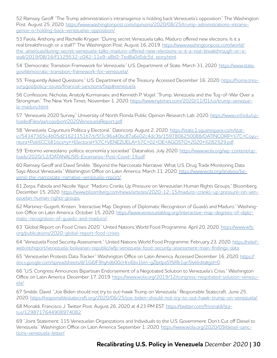52 Ramsey, Geoff. "The Trump administration's intransigence is holding back Venezuela's opposition." The Washington Post. August 25, 2020. [https://www.washingtonpost.com/opinions/2020/08/25/trump-administrations-intransi](https://www.washingtonpost.com/opinions/2020/08/25/trump-administrations-intransigence-is-holding-ba)[gence-is-holding-back-venezuelas-opposition/](https://www.washingtonpost.com/opinions/2020/08/25/trump-administrations-intransigence-is-holding-ba).

53 Faiola, Anthony and Rachelle Krygier. "During secret Venezuela talks, Maduro offered new elections. Is it a real breakthrough or a stall?" The Washington Post. August 16, 2019. [https://www.washingtonpost.com/world/](https://www.washingtonpost.com/world/the_americas/during-secret-venezuela-talks-maduro-offered-new-e) [the\\_americas/during-secret-venezuela-talks-maduro-offered-new-elections-is-it-a-real-breakthrough-or-a](https://www.washingtonpost.com/world/the_americas/during-secret-venezuela-talks-maduro-offered-new-e)[stall/2019/08/16/f1129532-c042-11e9-a8b0-7ed8a0d5dc5d\\_story.html](https://www.washingtonpost.com/world/the_americas/during-secret-venezuela-talks-maduro-offered-new-e).

54 "Democratic Transition Framework for Venezuela." U.S. Department of State. March 31, 2020. [https://www.state.](https://www.state.gov/democratic-transition-framework-for-venezuela/) [gov/democratic-transition-framework-for-venezuela/](https://www.state.gov/democratic-transition-framework-for-venezuela/).

55 "Frequently Asked Questions." U.S. Department of the Treasury. Accessed December 16, 2020. [https://home.trea](https://home.treasury.gov/policy-issues/financial-sanctions/faqs#venezuela)[sury.gov/policy-issues/financial-sanctions/faqs#venezuela](https://home.treasury.gov/policy-issues/financial-sanctions/faqs#venezuela).

56 Confessore, Nicholas, Anatoly Kurmanaev, and Kenneth P. Vogel. "Trump, Venezuela and the Tug-of-War Over a Strongman." The New York Times. November 1, 2020. [https://www.nytimes.com/2020/11/01/us/trump-venezue](https://www.nytimes.com/2020/11/01/us/trump-venezuela-maduro.html)[la-maduro.html](https://www.nytimes.com/2020/11/01/us/trump-venezuela-maduro.html).

57 "Venezuela 2020 Survey." University of North Florida Public Opinion Research Lab. 2020. [https://www.unf.edu/up](https://www.unf.edu/uploadedFiles/aa/coas/porl/2020VenezuelaReport.pdf)[loadedFiles/aa/coas/porl/2020VenezuelaReport.pdf.](https://www.unf.edu/uploadedFiles/aa/coas/porl/2020VenezuelaReport.pdf)

58 "Venezuela: Coyuntura Política y Electoral." Datincorp. August 2, 2020. [https://static1.squarespace.com/stat](https://static1.squarespace.com/static/54347365e4b05d21621151b7/t/5f3c96a40bc87a6e02c4dc3b/159780625)[ic/54347365e4b05d21621151b7/t/5f3c96a40bc87a6e02c4dc3b/1597806250088/DATINCORP+%7C+Coyu](https://static1.squarespace.com/static/54347365e4b05d21621151b7/t/5f3c96a40bc87a6e02c4dc3b/159780625)[ntura+Poli%CC%81tica+y++Electoral+%7C+VENEZUELA+%7C+02+DE+AGOSTO+2020+%282%29.pdf.](https://static1.squarespace.com/static/54347365e4b05d21621151b7/t/5f3c96a40bc87a6e02c4dc3b/159780625)

59 "Entorno venezolano: política, economía y sociedad." Datanalisis. July 2020. [https://www.wola.org/wp-content/up](https://www.wola.org/wp-content/uploads/2020/12/DATANALISIS-Escenarios-Post-Covid-19.pdf)[loads/2020/12/DATANALISIS-Escenarios-Post-Covid-19.pdf](https://www.wola.org/wp-content/uploads/2020/12/DATANALISIS-Escenarios-Post-Covid-19.pdf).

60 Ramsey, Geoff and David Smilde. "Beyond the Narcostate Narrative: What U.S. Drug Trade Monitoring Data Says About Venezuela." Washington Office on Latin America. March 11, 2020. [https://www.wola.org/analysis/be](https://www.wola.org/analysis/beyond-the-narcostate-narrative-venezuela-report/)[yond-the-narcostate-narrative-venezuela-report/.](https://www.wola.org/analysis/beyond-the-narcostate-narrative-venezuela-report/)

61 Zerpa, Fabiola and Nicolle Yapur. "Maduro Cranks Up Pressure on Venezuelan Human Rights Groups." Bloomberg. December 15, 2020. [https://www.bloomberg.com/news/articles/2020-12-15/maduro-cranks-up-pressure-on-ven](https://www.bloomberg.com/news/articles/2020-12-15/maduro-cranks-up-pressure-on-venezuelan-human-rig)[ezuelan-human-rights-groups.](https://www.bloomberg.com/news/articles/2020-12-15/maduro-cranks-up-pressure-on-venezuelan-human-rig)

62 Martinez-Gugerli, Kristen. "Interactive Map: Degrees of Diplomatic Recognition of Guaidó and Maduro." Washington Office on Latin America. October 15, 2020. [https://www.venezuelablog.org/interactive-map-degrees-of-diplo](https://www.venezuelablog.org/interactive-map-degrees-of-diplomatic-recognition-of-guaido-and-maduro)[matic-recognition-of-guaido-and-maduro/.](https://www.venezuelablog.org/interactive-map-degrees-of-diplomatic-recognition-of-guaido-and-maduro)

63 "Global Report on Food Crises 2020." United Nations World Food Programme. April 20, 2020. [https://www.wfp.](https://www.wfp.org/publications/2020-global-report-food-crises) [org/publications/2020-global-report-food-crises](https://www.wfp.org/publications/2020-global-report-food-crises).

64 "Venezuela Food Security Assessment." United Nations World Food Programme. February 23, 2020. [https://relief](https://reliefweb.int/report/venezuela-bolivarian-republic/wfp-venezuela-food-security-assessment-ma)[web.int/report/venezuela-bolivarian-republic/wfp-venezuela-food-security-assessment-main-findings-data](https://reliefweb.int/report/venezuela-bolivarian-republic/wfp-venezuela-food-security-assessment-ma).

65 "Venezuelan Protests Data Tracker." Washington Office on Latin America. Accessed December 16, 2020. [https://](https://docs.google.com/spreadsheets/d/1G6lF9hyhdb00cHro6bv1bm-gZlptIpaSYkRb1qn5IvI/edit#gid=0) docs.google.com/spreadsheets/d/1G6IF9hyhdb00cHro6bv1bm-gZlptIpaSYkRb1qn5IvI/edit#gid=0.

66 "U.S. Congress Announces Bipartisan Endorsement of a Negotiated Solution to Venezuela's Crisis." Washington Office on Latin America. December 17, 2019. [https://www.wola.org/2019/12/congress-negotiated-solution-venezu](https://www.wola.org/2019/12/congress-negotiated-solution-venezuela/)[ela/.](https://www.wola.org/2019/12/congress-negotiated-solution-venezuela/)

67 Smilde, David. "Joe Biden should not try to out-hawk Trump on Venezuela." Responsible Statecraft. June 25, 2020. [https://responsiblestatecraft.org/2020/06/25/joe-biden-should-not-try-to-out-hawk-trump-on-venezuela/](https://responsiblestatecraft.org/2020/06/25/joe-biden-should-not-try-to-out-hawk-trump-on-venezuela).

68 Monaldi, Francisco J. Twitter Post. August 26, 2020 at 4:23 PM EST. [https://twitter.com/fmonaldi/sta](https://twitter.com/fmonaldi/status/1298717644908974082)[tus/1298717644908974082](https://twitter.com/fmonaldi/status/1298717644908974082).

69 "Joint Statement: 115 Venezuelan Organizations and Individuals to the U.S. Government: Don't Cut off Diesel to Venezuela." Washington Office on Latin America. September 1, 2020. [https://www.wola.org/2020/09/diesel-sanc](https://www.wola.org/2020/09/diesel-sanctions-venezuela-letter/)[tions-venezuela-letter/.](https://www.wola.org/2020/09/diesel-sanctions-venezuela-letter/)